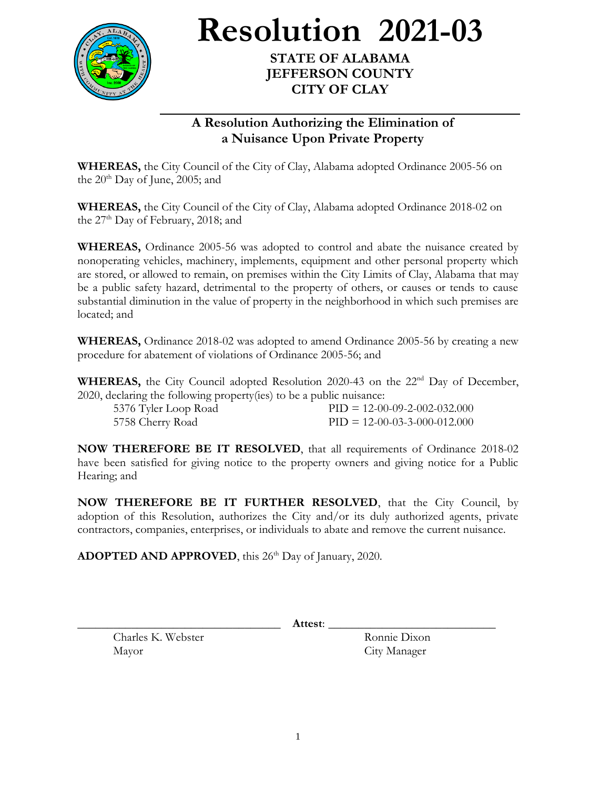

**Resolution 2021-03**

**STATE OF ALABAMA JEFFERSON COUNTY CITY OF CLAY**

## **A Resolution Authorizing the Elimination of a Nuisance Upon Private Property**

**WHEREAS,** the City Council of the City of Clay, Alabama adopted Ordinance 2005-56 on the  $20<sup>th</sup>$  Day of June, 2005; and

**WHEREAS,** the City Council of the City of Clay, Alabama adopted Ordinance 2018-02 on the  $27<sup>th</sup>$  Day of February, 2018; and

**WHEREAS,** Ordinance 2005-56 was adopted to control and abate the nuisance created by nonoperating vehicles, machinery, implements, equipment and other personal property which are stored, or allowed to remain, on premises within the City Limits of Clay, Alabama that may be a public safety hazard, detrimental to the property of others, or causes or tends to cause substantial diminution in the value of property in the neighborhood in which such premises are located; and

**WHEREAS,** Ordinance 2018-02 was adopted to amend Ordinance 2005-56 by creating a new procedure for abatement of violations of Ordinance 2005-56; and

**WHEREAS,** the City Council adopted Resolution 2020-43 on the 22<sup>nd</sup> Day of December, 2020, declaring the following property(ies) to be a public nuisance:

| $\frac{1}{2}$ and $\frac{1}{2}$ and $\frac{1}{2}$ and $\frac{1}{2}$ and $\frac{1}{2}$ and $\frac{1}{2}$ and $\frac{1}{2}$ and $\frac{1}{2}$ and $\frac{1}{2}$ and $\frac{1}{2}$ and $\frac{1}{2}$ and $\frac{1}{2}$ and $\frac{1}{2}$ and $\frac{1}{2}$ and $\frac{1}{2}$ and $\frac{1}{2}$ a |  |                                |
|-----------------------------------------------------------------------------------------------------------------------------------------------------------------------------------------------------------------------------------------------------------------------------------------------|--|--------------------------------|
| 5376 Tyler Loop Road                                                                                                                                                                                                                                                                          |  | $PID = 12-00-09-2-002-032.000$ |
| 5758 Cherry Road                                                                                                                                                                                                                                                                              |  | $PID = 12-00-03-3-000-012.000$ |

**NOW THEREFORE BE IT RESOLVED**, that all requirements of Ordinance 2018-02 have been satisfied for giving notice to the property owners and giving notice for a Public Hearing; and

**NOW THEREFORE BE IT FURTHER RESOLVED**, that the City Council, by adoption of this Resolution, authorizes the City and/or its duly authorized agents, private contractors, companies, enterprises, or individuals to abate and remove the current nuisance.

ADOPTED AND APPROVED, this 26<sup>th</sup> Day of January, 2020.

Charles K. Webster Ronnie Dixon Mayor City Manager

\_\_\_\_\_\_\_\_\_\_\_\_\_\_\_\_\_\_\_\_\_\_\_\_\_\_\_\_\_\_\_\_\_\_ **Attest**: \_\_\_\_\_\_\_\_\_\_\_\_\_\_\_\_\_\_\_\_\_\_\_\_\_\_\_\_